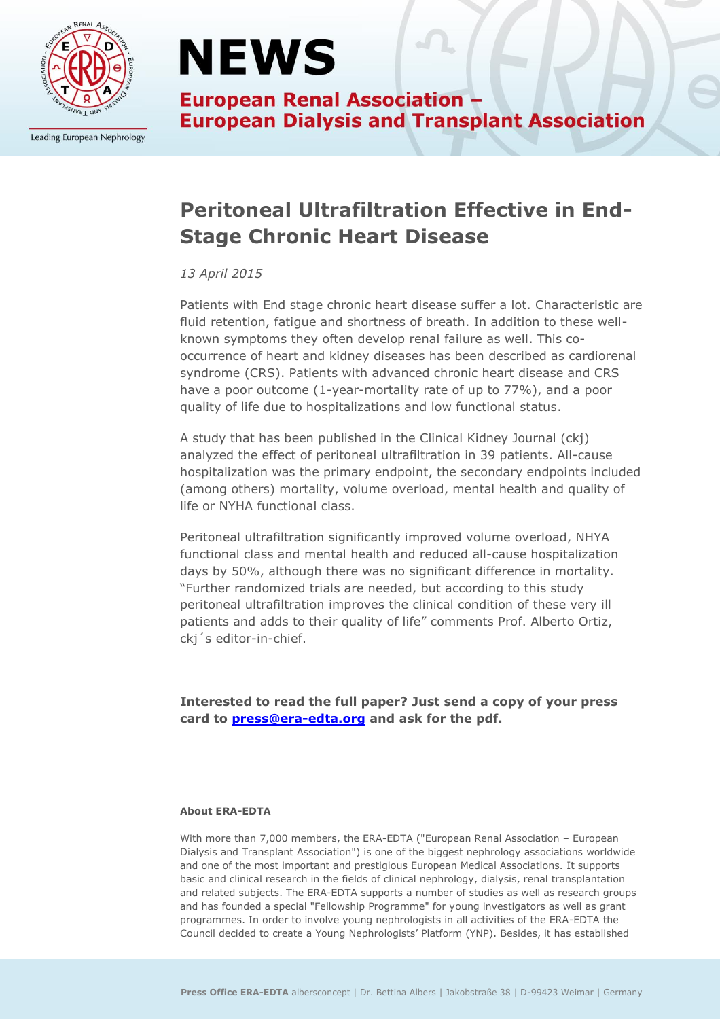

Leading European Nephrology

## **NEWS**

**European Renal Association -European Dialysis and Transplant Association** 

### **Peritoneal Ultrafiltration Effective in End-Stage Chronic Heart Disease**

#### *13 April 2015*

Patients with End stage chronic heart disease suffer a lot. Characteristic are fluid retention, fatigue and shortness of breath. In addition to these wellknown symptoms they often develop renal failure as well. This cooccurrence of heart and kidney diseases has been described as cardiorenal syndrome (CRS). Patients with advanced chronic heart disease and CRS have a poor outcome (1-year-mortality rate of up to 77%), and a poor quality of life due to hospitalizations and low functional status.

A study that has been published in the Clinical Kidney Journal (ckj) analyzed the effect of peritoneal ultrafiltration in 39 patients. All-cause hospitalization was the primary endpoint, the secondary endpoints included (among others) mortality, volume overload, mental health and quality of life or NYHA functional class.

Peritoneal ultrafiltration significantly improved volume overload, NHYA functional class and mental health and reduced all-cause hospitalization days by 50%, although there was no significant difference in mortality. "Further randomized trials are needed, but according to this study peritoneal ultrafiltration improves the clinical condition of these very ill patients and adds to their quality of life" comments Prof. Alberto Ortiz, ckj´s editor-in-chief.

**Interested to read the full paper? Just send a copy of your press card to [press@era-edta.org](mailto:press@era-edta.org) and ask for the pdf.**

#### **About ERA-EDTA**

With more than 7,000 members, the ERA-EDTA ("European Renal Association – European Dialysis and Transplant Association") is one of the biggest nephrology associations worldwide and one of the most important and prestigious European Medical Associations. It supports basic and clinical research in the fields of clinical nephrology, dialysis, renal transplantation and related subjects. The ERA-EDTA supports a number of studies as well as research groups and has founded a special "Fellowship Programme" for young investigators as well as grant programmes. In order to involve young nephrologists in all activities of the ERA-EDTA the Council decided to create a Young Nephrologists' Platform (YNP). Besides, it has established